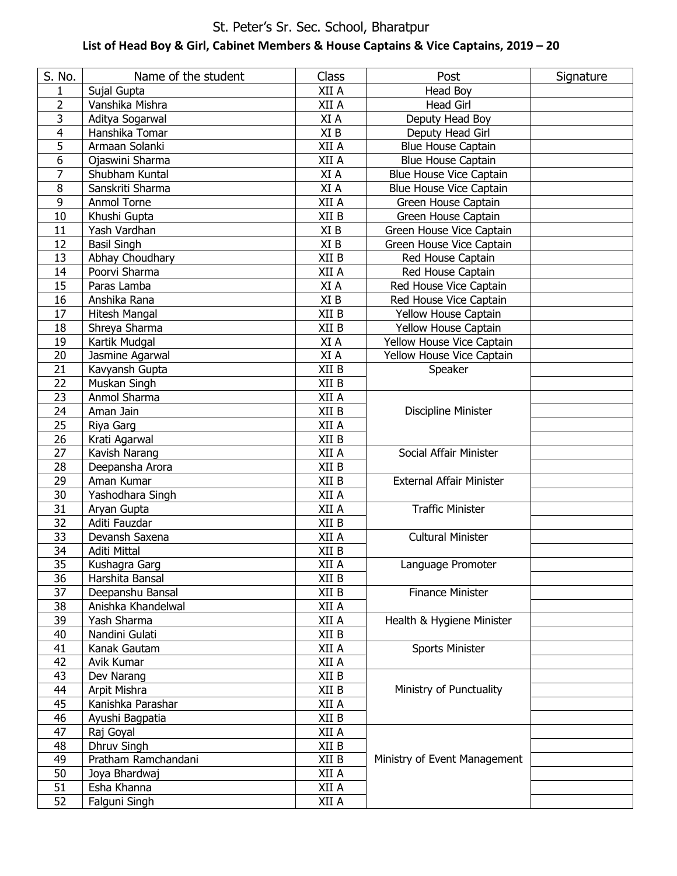### St. Peter's Sr. Sec. School, Bharatpur **List of Head Boy & Girl, Cabinet Members & House Captains & Vice Captains, 2019 – 20**

| S. No.          | Name of the student | Class                         | Post                            | Signature |
|-----------------|---------------------|-------------------------------|---------------------------------|-----------|
| 1               | Sujal Gupta         | XII A                         | <b>Head Boy</b>                 |           |
| $\overline{2}$  | Vanshika Mishra     | XII A                         | <b>Head Girl</b>                |           |
| 3               | Aditya Sogarwal     | XI A                          | Deputy Head Boy                 |           |
| 4               | Hanshika Tomar      | XI B                          | Deputy Head Girl                |           |
| 5               | Armaan Solanki      | XII A                         | <b>Blue House Captain</b>       |           |
| 6               | Ojaswini Sharma     | XII A                         | <b>Blue House Captain</b>       |           |
| 7               | Shubham Kuntal      | XI A                          | Blue House Vice Captain         |           |
| 8               | Sanskriti Sharma    | XI A                          | <b>Blue House Vice Captain</b>  |           |
| 9               | Anmol Torne         | XII A                         | Green House Captain             |           |
| 10              | Khushi Gupta        | XII B                         | Green House Captain             |           |
| 11              | Yash Vardhan        | XI B                          | Green House Vice Captain        |           |
| 12              | <b>Basil Singh</b>  | XI B                          | Green House Vice Captain        |           |
| 13              | Abhay Choudhary     | XII B                         | Red House Captain               |           |
| 14              | Poorvi Sharma       | XII A                         | Red House Captain               |           |
| 15              | Paras Lamba         | XI A                          | Red House Vice Captain          |           |
| 16              | Anshika Rana        | XI B                          | Red House Vice Captain          |           |
| 17              | Hitesh Mangal       | XII B                         | Yellow House Captain            |           |
| 18              | Shreya Sharma       | XII B                         | Yellow House Captain            |           |
| 19              | Kartik Mudgal       | XI A                          | Yellow House Vice Captain       |           |
| 20              | Jasmine Agarwal     | XI A                          | Yellow House Vice Captain       |           |
| 21              | Kavyansh Gupta      | XII B                         | Speaker                         |           |
| $\overline{22}$ | Muskan Singh        | XII B                         |                                 |           |
| 23              | Anmol Sharma        | XII A                         |                                 |           |
| 24              | Aman Jain           | XII B                         | Discipline Minister             |           |
| 25              | Riya Garg           | XII A                         |                                 |           |
| 26              | Krati Agarwal       | XII B                         |                                 |           |
| 27              | Kavish Narang       | XII A                         | Social Affair Minister          |           |
| 28              | Deepansha Arora     | XII B                         |                                 |           |
| 29              | Aman Kumar          | XII B                         | <b>External Affair Minister</b> |           |
| 30              | Yashodhara Singh    | XII A                         |                                 |           |
| 31              | Aryan Gupta         | XII A                         | <b>Traffic Minister</b>         |           |
| $\overline{32}$ | Aditi Fauzdar       | XII B                         |                                 |           |
| 33              | Devansh Saxena      | XII A                         | <b>Cultural Minister</b>        |           |
| 34              | Aditi Mittal        | XII B                         |                                 |           |
| 35              | Kushagra Garg       | XII A                         | Language Promoter               |           |
| 36              | Harshita Bansal     | XII B                         |                                 |           |
| 37              | Deepanshu Bansal    | $\boldsymbol{\mathsf{XII}}$ B | <b>Finance Minister</b>         |           |
| 38              | Anishka Khandelwal  | XII A                         |                                 |           |
| 39              | Yash Sharma         | XII A                         | Health & Hygiene Minister       |           |
| 40              | Nandini Gulati      | XII B                         |                                 |           |
| 41              | Kanak Gautam        | XII A                         | <b>Sports Minister</b>          |           |
| 42              | Avik Kumar          | XII A                         |                                 |           |
| 43              | Dev Narang          | XII B                         |                                 |           |
| 44              | Arpit Mishra        | XII B                         | Ministry of Punctuality         |           |
| 45              | Kanishka Parashar   | XII A                         |                                 |           |
| 46              | Ayushi Bagpatia     | XII B                         |                                 |           |
| 47              | Raj Goyal           | XII A                         |                                 |           |
| 48              | Dhruv Singh         | XII B                         |                                 |           |
| 49              | Pratham Ramchandani | XII B                         | Ministry of Event Management    |           |
| 50              | Joya Bhardwaj       | XII A                         |                                 |           |
| 51              | Esha Khanna         | XII A                         |                                 |           |
| 52              | Falguni Singh       | XII A                         |                                 |           |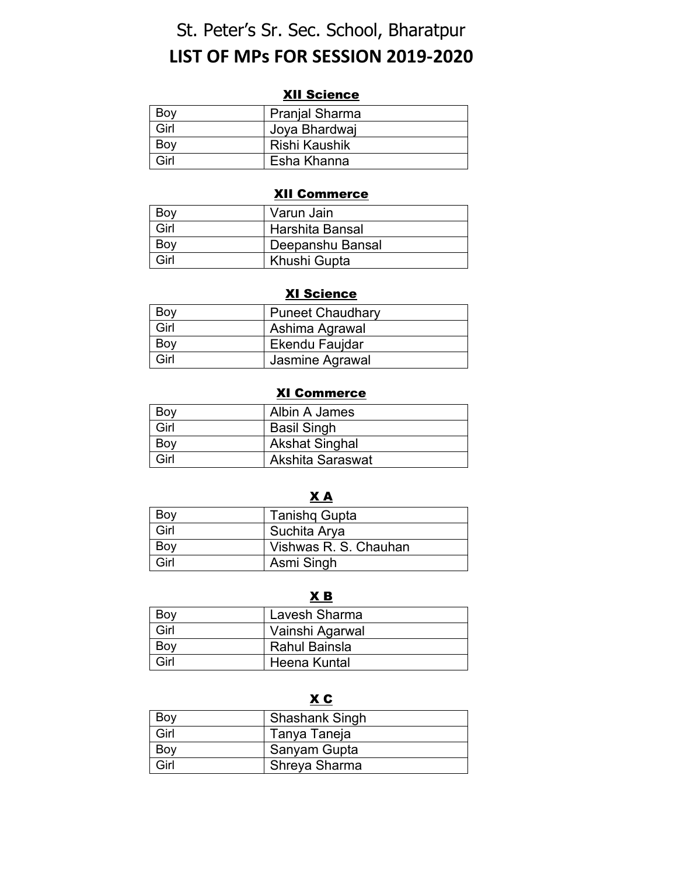# St. Peter's Sr. Sec. School, Bharatpur **LIST OF MPs FOR SESSION 2019-2020**

#### XII Science

| Boy  | <b>Pranjal Sharma</b> |
|------|-----------------------|
| Girl | Joya Bhardwaj         |
| Bov  | Rishi Kaushik         |
| Girl | Esha Khanna           |

#### XII Commerce

| Bov  | Varun Jain       |
|------|------------------|
| Girl | Harshita Bansal  |
| Bov  | Deepanshu Bansal |
| Girl | Khushi Gupta     |

#### XI Science

| Boy  | <b>Puneet Chaudhary</b> |
|------|-------------------------|
| Girl | Ashima Agrawal          |
| Boy  | Ekendu Faujdar          |
| Girl | Jasmine Agrawal         |

#### XI Commerce

| Boy  | Albin A James         |
|------|-----------------------|
| Girl | <b>Basil Singh</b>    |
| Boy  | <b>Akshat Singhal</b> |
| Girl | Akshita Saraswat      |

#### $\underline{\mathbf{X}}$   $\underline{\mathbf{A}}$

| Boy  | <b>Tanishq Gupta</b>  |
|------|-----------------------|
| Girl | Suchita Arya          |
| Boy  | Vishwas R. S. Chauhan |
| Girl | Asmi Singh            |

#### $\underline{\mathbf{X}}$  **B**

| Boy  | Lavesh Sharma   |
|------|-----------------|
| Girl | Vainshi Agarwal |
| Boy  | Rahul Bainsla   |
| Girl | Heena Kuntal    |

#### $X C$

| Boy  | <b>Shashank Singh</b> |
|------|-----------------------|
| Girl | Tanya Taneja          |
| Boy  | Sanyam Gupta          |
| Girl | Shreya Sharma         |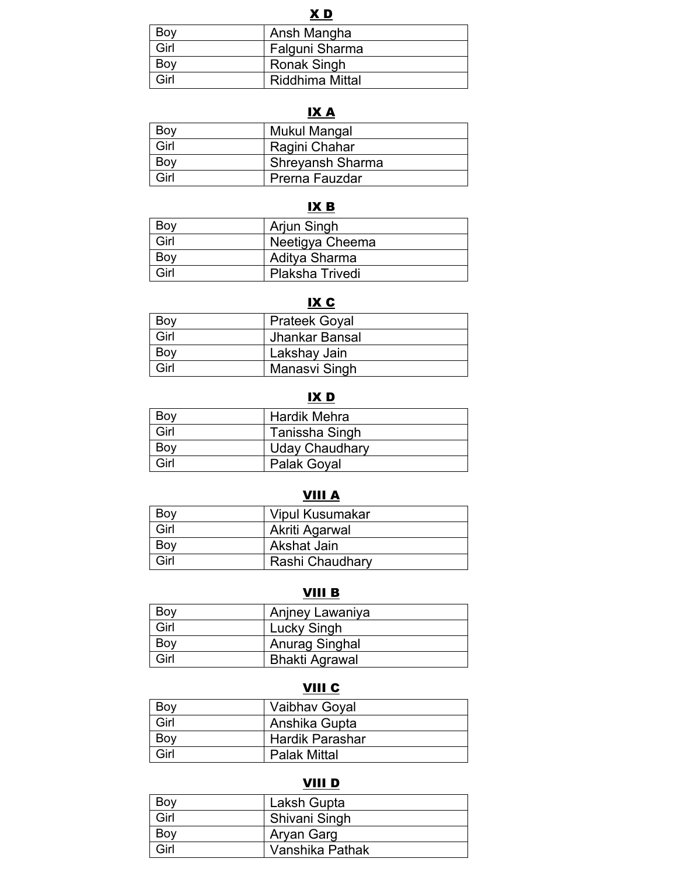#### X D

| Bov  | Ansh Mangha     |
|------|-----------------|
| Girl | Falguni Sharma  |
| Bov  | Ronak Singh     |
| Girl | Riddhima Mittal |

## IX A

| Boy  | Mukul Mangal     |
|------|------------------|
| Girl | Ragini Chahar    |
| Boy  | Shreyansh Sharma |
| Girl | Prerna Fauzdar   |

#### IX B

| Boy  | Arjun Singh            |
|------|------------------------|
| Girl | Neetigya Cheema        |
| Boy  | Aditya Sharma          |
| Girl | <b>Plaksha Trivedi</b> |

#### IX C

| Boy  | <b>Prateek Goyal</b> |
|------|----------------------|
| Girl | Jhankar Bansal       |
| Boy  | Lakshay Jain         |
| Girl | Manasvi Singh        |

#### IX D

| Boy  | <b>Hardik Mehra</b>   |
|------|-----------------------|
| Girl | Tanissha Singh        |
| Boy  | <b>Uday Chaudhary</b> |
| Girl | Palak Goyal           |

## VIII A

| Boy  | Vipul Kusumakar |
|------|-----------------|
| Girl | Akriti Agarwal  |
| Boy  | Akshat Jain     |
| Girl | Rashi Chaudhary |

## VIII B

| Boy  | Anjney Lawaniya       |
|------|-----------------------|
| Girl | <b>Lucky Singh</b>    |
| Boy  | Anurag Singhal        |
| Girl | <b>Bhakti Agrawal</b> |

## VIII C

| Boy  | Vaibhav Goyal          |
|------|------------------------|
| Girl | Anshika Gupta          |
| Boy  | <b>Hardik Parashar</b> |
| Girl | <b>Palak Mittal</b>    |

## VIII D

| Boy  | Laksh Gupta     |
|------|-----------------|
| Girl | Shivani Singh   |
| Boy  | Aryan Garg      |
| Girl | Vanshika Pathak |